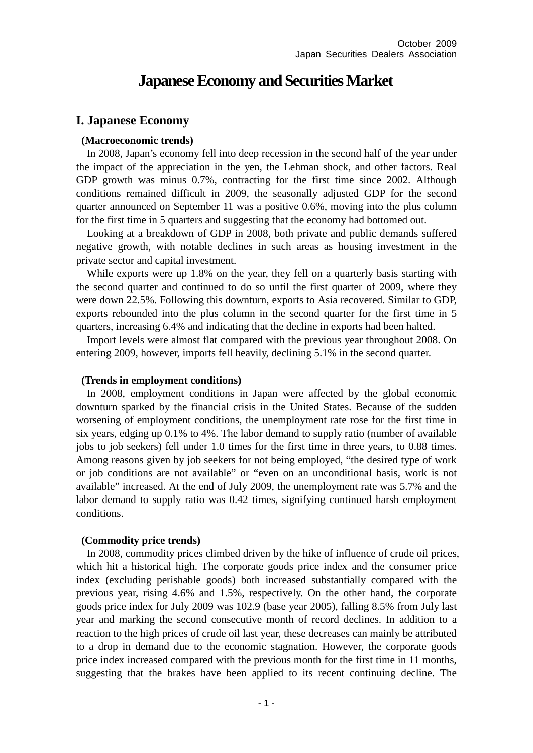# **Japanese Economy and Securities Market**

# **I. Japanese Economy**

### **(Macroeconomic trends)**

In 2008, Japan's economy fell into deep recession in the second half of the year under the impact of the appreciation in the yen, the Lehman shock, and other factors. Real GDP growth was minus 0.7%, contracting for the first time since 2002. Although conditions remained difficult in 2009, the seasonally adjusted GDP for the second quarter announced on September 11 was a positive 0.6%, moving into the plus column for the first time in 5 quarters and suggesting that the economy had bottomed out.

Looking at a breakdown of GDP in 2008, both private and public demands suffered negative growth, with notable declines in such areas as housing investment in the private sector and capital investment.

While exports were up 1.8% on the year, they fell on a quarterly basis starting with the second quarter and continued to do so until the first quarter of 2009, where they were down 22.5%. Following this downturn, exports to Asia recovered. Similar to GDP, exports rebounded into the plus column in the second quarter for the first time in 5 quarters, increasing 6.4% and indicating that the decline in exports had been halted.

Import levels were almost flat compared with the previous year throughout 2008. On entering 2009, however, imports fell heavily, declining 5.1% in the second quarter.

### **(Trends in employment conditions)**

In 2008, employment conditions in Japan were affected by the global economic downturn sparked by the financial crisis in the United States. Because of the sudden worsening of employment conditions, the unemployment rate rose for the first time in six years, edging up 0.1% to 4%. The labor demand to supply ratio (number of available jobs to job seekers) fell under 1.0 times for the first time in three years, to 0.88 times. Among reasons given by job seekers for not being employed, "the desired type of work or job conditions are not available" or "even on an unconditional basis, work is not available" increased. At the end of July 2009, the unemployment rate was 5.7% and the labor demand to supply ratio was 0.42 times, signifying continued harsh employment conditions.

### **(Commodity price trends)**

In 2008, commodity prices climbed driven by the hike of influence of crude oil prices, which hit a historical high. The corporate goods price index and the consumer price index (excluding perishable goods) both increased substantially compared with the previous year, rising 4.6% and 1.5%, respectively. On the other hand, the corporate goods price index for July 2009 was 102.9 (base year 2005), falling 8.5% from July last year and marking the second consecutive month of record declines. In addition to a reaction to the high prices of crude oil last year, these decreases can mainly be attributed to a drop in demand due to the economic stagnation. However, the corporate goods price index increased compared with the previous month for the first time in 11 months, suggesting that the brakes have been applied to its recent continuing decline. The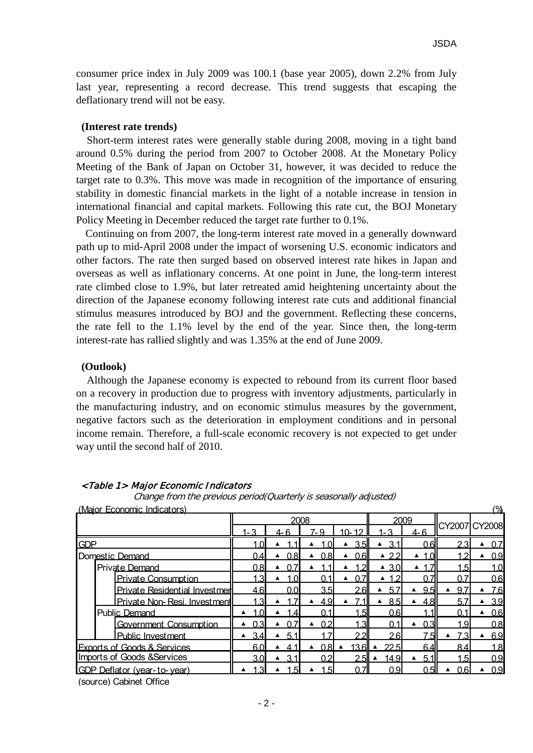consumer price index in July 2009 was 100.1 (base year 2005), down 2.2% from July last year, representing a record decrease. This trend suggests that escaping the deflationary trend will not be easy.

#### **(Interest rate trends)**

Short-term interest rates were generally stable during 2008, moving in a tight band around 0.5% during the period from 2007 to October 2008. At the Monetary Policy Meeting of the Bank of Japan on October 31, however, it was decided to reduce the target rate to 0.3%. This move was made in recognition of the importance of ensuring stability in domestic financial markets in the light of a notable increase in tension in international financial and capital markets. Following this rate cut, the BOJ Monetary Policy Meeting in December reduced the target rate further to 0.1%.

Continuing on from 2007, the long-term interest rate moved in a generally downward path up to mid-April 2008 under the impact of worsening U.S. economic indicators and other factors. The rate then surged based on observed interest rate hikes in Japan and overseas as well as inflationary concerns. At one point in June, the long-term interest rate climbed close to 1.9%, but later retreated amid heightening uncertainty about the direction of the Japanese economy following interest rate cuts and additional financial stimulus measures introduced by BOJ and the government. Reflecting these concerns, the rate fell to the 1.1% level by the end of the year. Since then, the long-term interest-rate has rallied slightly and was 1.35% at the end of June 2009.

### **(Outlook)**

Although the Japanese economy is expected to rebound from its current floor based on a recovery in production due to progress with inventory adjustments, particularly in the manufacturing industry, and on economic stimulus measures by the government, negative factors such as the deterioration in employment conditions and in personal income remain. Therefore, a full-scale economic recovery is not expected to get under way until the second half of 2010.

|                                        | (Maior Economic Indicators)   |                         |                         |                         |                                  |                           |                         |            | <u>(%)</u>              |  |
|----------------------------------------|-------------------------------|-------------------------|-------------------------|-------------------------|----------------------------------|---------------------------|-------------------------|------------|-------------------------|--|
|                                        |                               |                         | 2008                    |                         |                                  |                           | 2009                    |            |                         |  |
|                                        |                               | $1 - 3$                 | $4 - 6$                 | $7 - 9$                 | $10 - 12$                        | $1 - 3$                   | $4 - 6$                 |            | CY2007 CY2008           |  |
| <b>GDP</b>                             |                               | 1.0                     |                         |                         | 3.5<br>$\blacktriangle$          | 3.1                       | 0.6                     | 2.3        | 0.7<br>$\blacktriangle$ |  |
|                                        | Domestic Demand               | 0.4                     | 0.8<br>$\blacktriangle$ | 0.8<br>$\blacktriangle$ | 0.61<br>$\blacktriangle$         | $\blacktriangle$ 22       | 1.0<br>$\blacktriangle$ |            | 0.9<br>$\blacktriangle$ |  |
|                                        | Private Demand                | 0.8                     | 07<br>▲                 |                         | າ                                | $\triangle$ 3.0           | 7<br>$\blacktriangle$   | .5         | <u> 1.0</u>             |  |
|                                        | <b>Private Consumption</b>    | 1.3 <sub>l</sub>        | 1.0 <sub>l</sub><br>▲   | 01                      | 0.7<br>$\blacktriangle$          | 2<br>▲                    | 07                      | 07         | 0.6                     |  |
|                                        | Private Residential Investmer | 4.6                     | 0.0                     | 3.5                     | 2.6                              | 5.7                       | 9.5<br>$\blacktriangle$ | 9.7        | 7.6                     |  |
|                                        | Private Non-Resi, Investment  | 1.3 <sub>l</sub>        |                         | 4.9                     |                                  | 8.5                       | 4.8<br>$\blacktriangle$ | 5.7        | 3.9<br>$\blacktriangle$ |  |
|                                        | Public Demand                 | $\Omega$                | $\boldsymbol{A}$        | 0.1                     | 5                                | 0.6                       | 11                      | 01         | 0.6                     |  |
|                                        | Government Consumption        | 0.3                     | 07                      | 02<br>▲                 | .31                              | $\Omega$ 1                | 0.3                     | $\cdot$ 9  | 0.8                     |  |
|                                        | Public Investment             | 3.4<br>$\blacktriangle$ | 5.1                     | $\overline{7}$          | 22                               | 2.6                       | 7.5I                    | 73         | 6.9                     |  |
| <b>Exports of Goods &amp; Services</b> |                               | 6.0                     | 4.1<br>▲                | 0.8                     | <u>13.6L</u><br>$\blacktriangle$ | 22.5l<br>$\blacktriangle$ | 6.4I                    | 8.4        | 1.8                     |  |
| Imports of Goods & Services            |                               | 3.0 <sub>l</sub>        | 3.1                     | 0.2 <sub>l</sub>        | 2.5                              | 14.9                      | 5.1                     | $\sqrt{5}$ | 0.9                     |  |
| GDP Deflator (vear-to-vear)            |                               | $\mathcal{B}$           | 5                       | .5                      | n                                | 0.9                       | 0.5                     | 0.61       | 0.9                     |  |

#### <Table 1> Major Economic Indicators

Change from the previous period(Quarterly is seasonally adjusted)

(source) Cabinet Office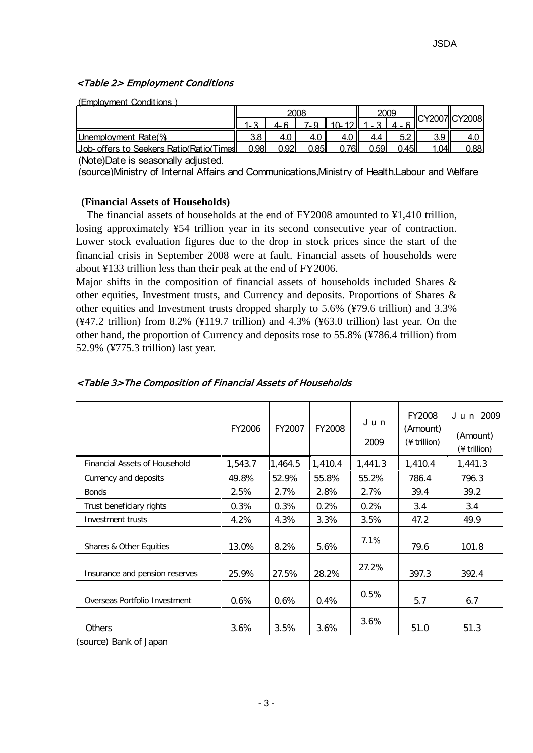# <Table 2> Employment Conditions

|  |  | (Employment Conditions) |  |
|--|--|-------------------------|--|
|  |  |                         |  |

|                                          | 2008 |      |        |                |        | 2009 |     |               |
|------------------------------------------|------|------|--------|----------------|--------|------|-----|---------------|
|                                          |      |      |        | ⊣^ II<br>$10-$ | $\sim$ |      |     | CY2007 CY2008 |
| Unemployment Rate(%)                     | 3.8  |      |        |                |        |      | ۵ د |               |
| Uob-offers to Seekers Ratio (Ratio Times | 0.98 | N 92 | 0.85 I | ∩ 7ฝ I         | n 5al  | 045  | 04I | 0.88l         |

(Note)Date is seasonally adjusted.

(source)Ministry of Internal Affairs and Communications,Ministry of Health,Labour and Welfare

# **(Financial Assets of Households)**

The financial assets of households at the end of FY2008 amounted to ¥1,410 trillion, losing approximately ¥54 trillion year in its second consecutive year of contraction. Lower stock evaluation figures due to the drop in stock prices since the start of the financial crisis in September 2008 were at fault. Financial assets of households were about ¥133 trillion less than their peak at the end of FY2006.

Major shifts in the composition of financial assets of households included Shares & other equities, Investment trusts, and Currency and deposits. Proportions of Shares & other equities and Investment trusts dropped sharply to 5.6% (¥79.6 trillion) and 3.3% (¥47.2 trillion) from 8.2% (¥119.7 trillion) and 4.3% (¥63.0 trillion) last year. On the other hand, the proportion of Currency and deposits rose to 55.8% (¥786.4 trillion) from 52.9% (¥775.3 trillion) last year.

|                                      | FY2006  | FY2007  | FY2008  | Jun<br>2009 | FY2008<br>(Amount)<br>$(*)$ trillion) | 2009<br>Jun<br>(Amount)<br>(¥ trillion) |
|--------------------------------------|---------|---------|---------|-------------|---------------------------------------|-----------------------------------------|
| <b>Financial Assets of Household</b> | 1,543.7 | 1,464.5 | 1,410.4 | 1,441.3     | 1,410.4                               | 1,441.3                                 |
| Currency and deposits                | 49.8%   | 52.9%   | 55.8%   | 55.2%       | 786.4                                 | 796.3                                   |
| <b>Bonds</b>                         | 2.5%    | 2.7%    | 2.8%    | 2.7%        | 39.4                                  | 39.2                                    |
| Trust beneficiary rights             | 0.3%    | 0.3%    | 0.2%    | 0.2%        | 3.4                                   | 3.4                                     |
| Investment trusts                    | 4.2%    | 4.3%    | 3.3%    | 3.5%        | 47.2                                  | 49.9                                    |
| Shares & Other Equities              | 13.0%   | 8.2%    | 5.6%    | 7.1%        | 79.6                                  | 101.8                                   |
| Insurance and pension reserves       | 25.9%   | 27.5%   | 28.2%   | 27.2%       | 397.3                                 | 392.4                                   |
| Overseas Portfolio Investment        | 0.6%    | 0.6%    | 0.4%    | 0.5%        | 5.7                                   | 6.7                                     |
| <b>Others</b>                        | 3.6%    | 3.5%    | 3.6%    | 3.6%        | 51.0                                  | 51.3                                    |

# <Table 3>The Composition of Financial Assets of Households

(source) Bank of Japan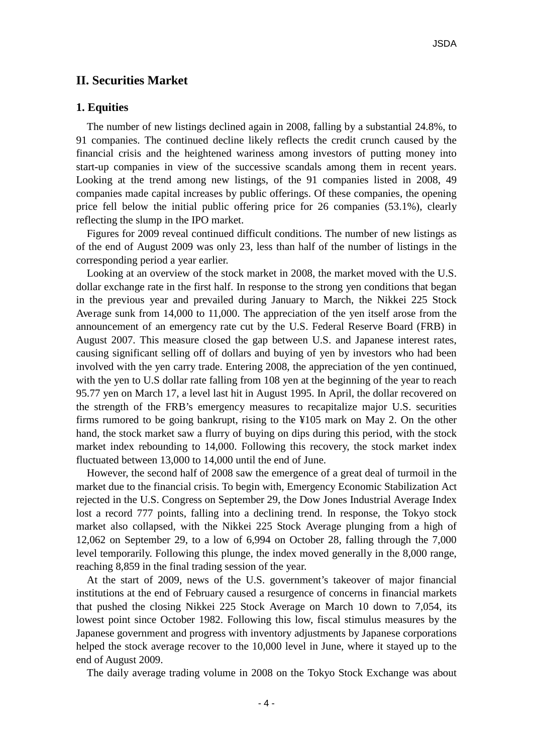### **II. Securities Market**

### **1. Equities**

The number of new listings declined again in 2008, falling by a substantial 24.8%, to 91 companies. The continued decline likely reflects the credit crunch caused by the financial crisis and the heightened wariness among investors of putting money into start-up companies in view of the successive scandals among them in recent years. Looking at the trend among new listings, of the 91 companies listed in 2008, 49 companies made capital increases by public offerings. Of these companies, the opening price fell below the initial public offering price for 26 companies (53.1%), clearly reflecting the slump in the IPO market.

Figures for 2009 reveal continued difficult conditions. The number of new listings as of the end of August 2009 was only 23, less than half of the number of listings in the corresponding period a year earlier.

Looking at an overview of the stock market in 2008, the market moved with the U.S. dollar exchange rate in the first half. In response to the strong yen conditions that began in the previous year and prevailed during January to March, the Nikkei 225 Stock Average sunk from 14,000 to 11,000. The appreciation of the yen itself arose from the announcement of an emergency rate cut by the U.S. Federal Reserve Board (FRB) in August 2007. This measure closed the gap between U.S. and Japanese interest rates, causing significant selling off of dollars and buying of yen by investors who had been involved with the yen carry trade. Entering 2008, the appreciation of the yen continued, with the yen to U.S dollar rate falling from 108 yen at the beginning of the year to reach 95.77 yen on March 17, a level last hit in August 1995. In April, the dollar recovered on the strength of the FRB's emergency measures to recapitalize major U.S. securities firms rumored to be going bankrupt, rising to the ¥105 mark on May 2. On the other hand, the stock market saw a flurry of buying on dips during this period, with the stock market index rebounding to 14,000. Following this recovery, the stock market index fluctuated between 13,000 to 14,000 until the end of June.

However, the second half of 2008 saw the emergence of a great deal of turmoil in the market due to the financial crisis. To begin with, Emergency Economic Stabilization Act rejected in the U.S. Congress on September 29, the Dow Jones Industrial Average Index lost a record 777 points, falling into a declining trend. In response, the Tokyo stock market also collapsed, with the Nikkei 225 Stock Average plunging from a high of 12,062 on September 29, to a low of 6,994 on October 28, falling through the 7,000 level temporarily. Following this plunge, the index moved generally in the 8,000 range, reaching 8,859 in the final trading session of the year.

At the start of 2009, news of the U.S. government's takeover of major financial institutions at the end of February caused a resurgence of concerns in financial markets that pushed the closing Nikkei 225 Stock Average on March 10 down to 7,054, its lowest point since October 1982. Following this low, fiscal stimulus measures by the Japanese government and progress with inventory adjustments by Japanese corporations helped the stock average recover to the 10,000 level in June, where it stayed up to the end of August 2009.

The daily average trading volume in 2008 on the Tokyo Stock Exchange was about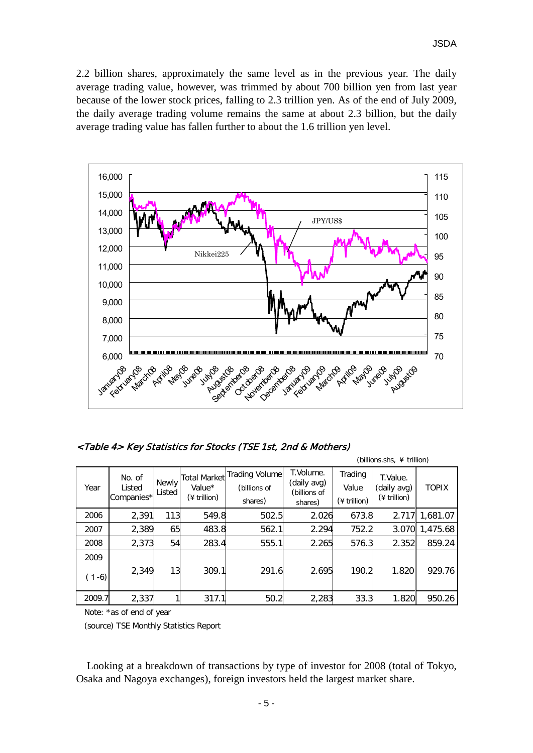2.2 billion shares, approximately the same level as in the previous year. The daily average trading value, however, was trimmed by about 700 billion yen from last year because of the lower stock prices, falling to 2.3 trillion yen. As of the end of July 2009, the daily average trading volume remains the same at about 2.3 billion, but the daily average trading value has fallen further to about the 1.6 trillion yen level.



<Table 4> Key Statistics for Stocks (TSE 1st, 2nd & Mothers)

|                 |                                |                        |                                               |                                           |                                                     |                                     | (billions.shs, ¥ trillion)                 |                |
|-----------------|--------------------------------|------------------------|-----------------------------------------------|-------------------------------------------|-----------------------------------------------------|-------------------------------------|--------------------------------------------|----------------|
| Year            | No. of<br>Listed<br>Companies* | <b>Newly</b><br>Listed | <b>Total Market</b><br>Value*<br>(¥ trillion) | Trading Volume<br>(billions of<br>shares) | T.Volume.<br>(daily avg)<br>(billions of<br>shares) | Trading<br>Value<br>$(*)$ trillion) | T.Value.<br>(daily avg)<br>$(*)$ trillion) | <b>TOPIX</b>   |
| 2006            | 2,391                          | 113                    | 549.8                                         | 502.5                                     | 2.026                                               | 673.8                               |                                            | 2.717 1,681.07 |
| 2007            | 2,389                          | 65                     | 483.8                                         | 562.1                                     | 2.294                                               | 752.2                               |                                            | 3.070 1,475.68 |
| 2008            | 2,373                          | 54                     | 283.4                                         | 555.1                                     | 2.265                                               | 576.3                               | 2.352                                      | 859.24         |
| 2009<br>$(1-6)$ | 2,349                          | 13                     | 309.1                                         | 291.6                                     | 2.695                                               | 190.2                               | 1.820                                      | 929.76         |
| 2009.7          | 2,337                          |                        | 317.1                                         | 50.2                                      | 2,283                                               | 33.3                                | 1.820                                      | 950.26         |

Note: \*as of end of year

(source) TSE Monthly Statistics Report

Looking at a breakdown of transactions by type of investor for 2008 (total of Tokyo, Osaka and Nagoya exchanges), foreign investors held the largest market share.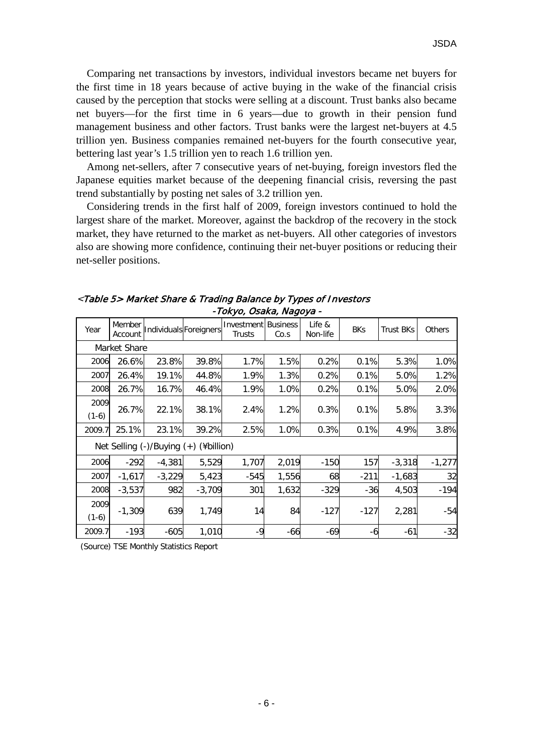Comparing net transactions by investors, individual investors became net buyers for the first time in 18 years because of active buying in the wake of the financial crisis caused by the perception that stocks were selling at a discount. Trust banks also became net buyers—for the first time in 6 years—due to growth in their pension fund management business and other factors. Trust banks were the largest net-buyers at 4.5 trillion yen. Business companies remained net-buyers for the fourth consecutive year, bettering last year's 1.5 trillion yen to reach 1.6 trillion yen.

Among net-sellers, after 7 consecutive years of net-buying, foreign investors fled the Japanese equities market because of the deepening financial crisis, reversing the past trend substantially by posting net sales of 3.2 trillion yen.

Considering trends in the first half of 2009, foreign investors continued to hold the largest share of the market. Moreover, against the backdrop of the recovery in the stock market, they have returned to the market as net-buyers. All other categories of investors also are showing more confidence, continuing their net-buyer positions or reducing their net-seller positions.

| - TUNYU, USANA, NAYUYA - |                   |          |                                            |                                      |       |                    |            |                  |               |  |  |  |
|--------------------------|-------------------|----------|--------------------------------------------|--------------------------------------|-------|--------------------|------------|------------------|---------------|--|--|--|
| Year                     | Member<br>Account |          | Individuals Foreigners                     | <b>Investment Business</b><br>Trusts | Co.s  | Life &<br>Non-life | <b>BKs</b> | <b>Trust BKs</b> | <b>Others</b> |  |  |  |
| Market Share             |                   |          |                                            |                                      |       |                    |            |                  |               |  |  |  |
| 2006                     | 26.6%             | 23.8%    | 39.8%                                      | 1.7%                                 | 1.5%  | 0.2%               | 0.1%       | 5.3%             | 1.0%          |  |  |  |
| 2007                     | 26.4%             | 19.1%    | 44.8%                                      | 1.9%                                 | 1.3%  | 0.2%               | 0.1%       | 5.0%             | 1.2%          |  |  |  |
| 2008                     | 26.7%             | 16.7%    | 46.4%                                      | 1.9%                                 | 1.0%  | 0.2%               | 0.1%       | 5.0%             | 2.0%          |  |  |  |
| 2009                     |                   |          | 38.1%                                      | 2.4%                                 | 1.2%  | 0.3%               | 0.1%       | 5.8%             | 3.3%          |  |  |  |
| $(1-6)$                  | 26.7%<br>22.1%    |          |                                            |                                      |       |                    |            |                  |               |  |  |  |
| 2009.7                   | 25.1%             | 23.1%    | 39.2%                                      | 2.5%                                 | 1.0%  | 0.3%               | 0.1%       | 4.9%             | 3.8%          |  |  |  |
|                          |                   |          | Net Selling $(-)/$ Buying $(+)$ (¥billion) |                                      |       |                    |            |                  |               |  |  |  |
| 2006                     | $-292$            | $-4,381$ | 5,529                                      | 1,707                                | 2,019 | $-150$             | 157        | $-3,318$         | $-1,277$      |  |  |  |
| 2007                     | $-1,617$          | $-3,229$ | 5,423                                      | $-545$                               | 1,556 | 68                 | $-211$     | $-1,683$         | 32            |  |  |  |
| 2008                     | $-3,537$          | 982      | $-3,709$                                   | 301                                  | 1,632 | $-329$             | $-36$      | 4,503            | $-194$        |  |  |  |
| 2009                     |                   |          |                                            |                                      |       |                    |            |                  | $-54$         |  |  |  |
| $(1-6)$                  | $-1,309$          | 639      | 1,749                                      | 14                                   | 84    | $-127$             | $-127$     | 2,281            |               |  |  |  |
| 2009.7                   | $-193$            | $-605$   | 1,010                                      | -9                                   | $-66$ | $-69$              | -6         | $-61$            | $-32$         |  |  |  |

<Table 5> Market Share & Trading Balance by Types of Investors -Tokyo, Osaka, Nagoya -

(Source) TSE Monthly Statistics Report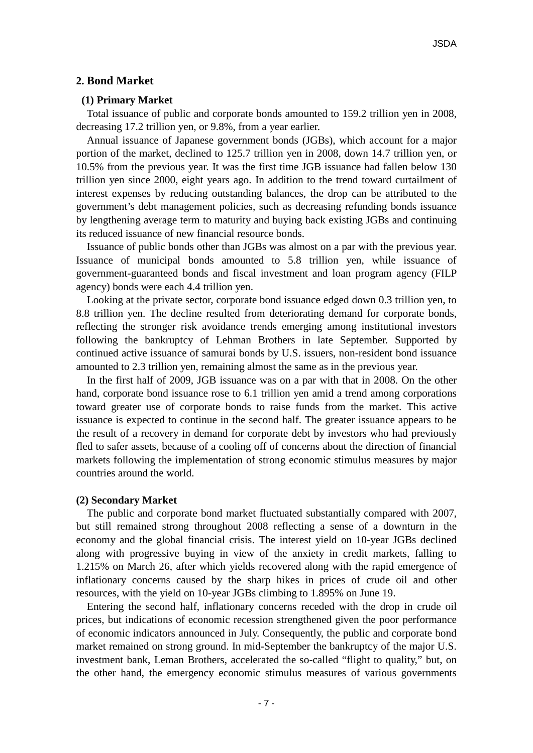### **2. Bond Market**

#### **(1) Primary Market**

Total issuance of public and corporate bonds amounted to 159.2 trillion yen in 2008, decreasing 17.2 trillion yen, or 9.8%, from a year earlier.

Annual issuance of Japanese government bonds (JGBs), which account for a major portion of the market, declined to 125.7 trillion yen in 2008, down 14.7 trillion yen, or 10.5% from the previous year. It was the first time JGB issuance had fallen below 130 trillion yen since 2000, eight years ago. In addition to the trend toward curtailment of interest expenses by reducing outstanding balances, the drop can be attributed to the government's debt management policies, such as decreasing refunding bonds issuance by lengthening average term to maturity and buying back existing JGBs and continuing its reduced issuance of new financial resource bonds.

Issuance of public bonds other than JGBs was almost on a par with the previous year. Issuance of municipal bonds amounted to 5.8 trillion yen, while issuance of government-guaranteed bonds and fiscal investment and loan program agency (FILP agency) bonds were each 4.4 trillion yen.

Looking at the private sector, corporate bond issuance edged down 0.3 trillion yen, to 8.8 trillion yen. The decline resulted from deteriorating demand for corporate bonds, reflecting the stronger risk avoidance trends emerging among institutional investors following the bankruptcy of Lehman Brothers in late September. Supported by continued active issuance of samurai bonds by U.S. issuers, non-resident bond issuance amounted to 2.3 trillion yen, remaining almost the same as in the previous year.

In the first half of 2009, JGB issuance was on a par with that in 2008. On the other hand, corporate bond issuance rose to 6.1 trillion yen amid a trend among corporations toward greater use of corporate bonds to raise funds from the market. This active issuance is expected to continue in the second half. The greater issuance appears to be the result of a recovery in demand for corporate debt by investors who had previously fled to safer assets, because of a cooling off of concerns about the direction of financial markets following the implementation of strong economic stimulus measures by major countries around the world.

#### **(2) Secondary Market**

The public and corporate bond market fluctuated substantially compared with 2007, but still remained strong throughout 2008 reflecting a sense of a downturn in the economy and the global financial crisis. The interest yield on 10-year JGBs declined along with progressive buying in view of the anxiety in credit markets, falling to 1.215% on March 26, after which yields recovered along with the rapid emergence of inflationary concerns caused by the sharp hikes in prices of crude oil and other resources, with the yield on 10-year JGBs climbing to 1.895% on June 19.

Entering the second half, inflationary concerns receded with the drop in crude oil prices, but indications of economic recession strengthened given the poor performance of economic indicators announced in July. Consequently, the public and corporate bond market remained on strong ground. In mid-September the bankruptcy of the major U.S. investment bank, Leman Brothers, accelerated the so-called "flight to quality," but, on the other hand, the emergency economic stimulus measures of various governments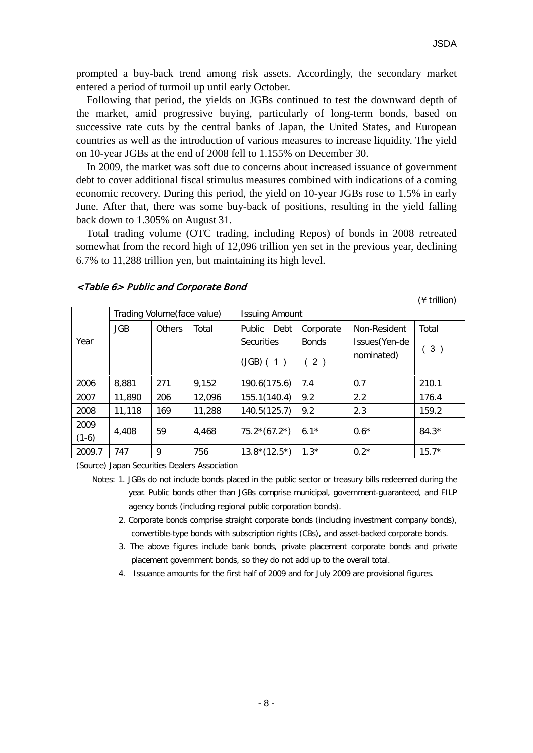prompted a buy-back trend among risk assets. Accordingly, the secondary market entered a period of turmoil up until early October.

Following that period, the yields on JGBs continued to test the downward depth of the market, amid progressive buying, particularly of long-term bonds, based on successive rate cuts by the central banks of Japan, the United States, and European countries as well as the introduction of various measures to increase liquidity. The yield on 10-year JGBs at the end of 2008 fell to 1.155% on December 30.

In 2009, the market was soft due to concerns about increased issuance of government debt to cover additional fiscal stimulus measures combined with indications of a coming economic recovery. During this period, the yield on 10-year JGBs rose to 1.5% in early June. After that, there was some buy-back of positions, resulting in the yield falling back down to 1.305% on August 31.

Total trading volume (OTC trading, including Repos) of bonds in 2008 retreated somewhat from the record high of 12,096 trillion yen set in the previous year, declining 6.7% to 11,288 trillion yen, but maintaining its high level.

|                 |                             |               |        |                       |              |                | (¥ trillion) |  |  |  |
|-----------------|-----------------------------|---------------|--------|-----------------------|--------------|----------------|--------------|--|--|--|
|                 | Trading Volume (face value) |               |        | <b>Issuing Amount</b> |              |                |              |  |  |  |
|                 | <b>JGB</b>                  | <b>Others</b> | Total  | Debt<br><b>Public</b> | Corporate    | Non-Resident   | Total        |  |  |  |
| Year            |                             |               |        | Securities            | <b>Bonds</b> | Issues (Yen-de | (3)          |  |  |  |
|                 |                             |               |        | $(JGB)$ (1)           | (2)          | nominated)     |              |  |  |  |
| 2006            | 8,881                       | 271           | 9,152  | 190.6(175.6)          | 7.4          | 0.7            | 210.1        |  |  |  |
| 2007            | 11,890                      | 206           | 12,096 | 155.1(140.4)          | 9.2          | 2.2            | 176.4        |  |  |  |
| 2008            | 11,118                      | 169           | 11,288 | 140.5(125.7)          | 9.2          | 2.3            | 159.2        |  |  |  |
| 2009<br>$(1-6)$ | 4,408                       | 59            | 4.468  | $75.2*(67.2*)$        | $6.1*$       | $0.6*$         | $84.3*$      |  |  |  |
| 2009.7          | 747                         | 9             | 756    | $13.8*(12.5*)$        | $1.3*$       | $0.2*$         | $15.7*$      |  |  |  |

#### <Table 6> Public and Corporate Bond

(Source) Japan Securities Dealers Association

Notes: 1. JGBs do not include bonds placed in the public sector or treasury bills redeemed during the year. Public bonds other than JGBs comprise municipal, government-guaranteed, and FILP agency bonds (including regional public corporation bonds).

- 2. Corporate bonds comprise straight corporate bonds (including investment company bonds), convertible-type bonds with subscription rights (CBs), and asset-backed corporate bonds.
- 3. The above figures include bank bonds, private placement corporate bonds and private placement government bonds, so they do not add up to the overall total.
- 4. Issuance amounts for the first half of 2009 and for July 2009 are provisional figures.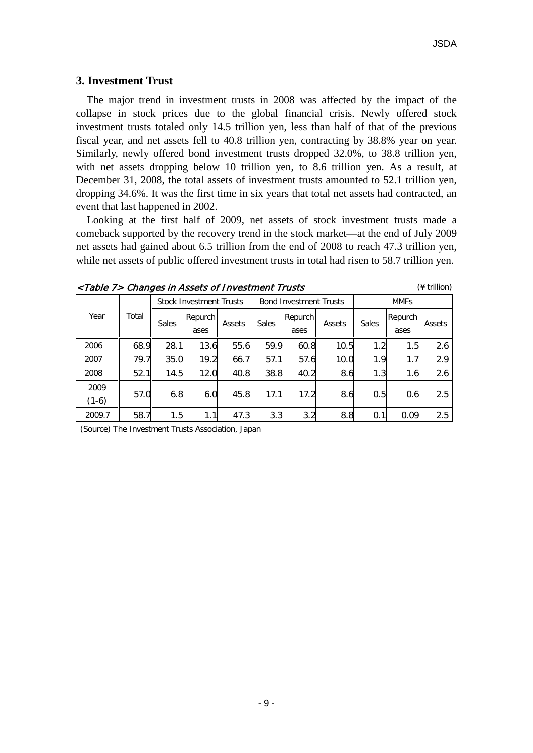### **3. Investment Trust**

The major trend in investment trusts in 2008 was affected by the impact of the collapse in stock prices due to the global financial crisis. Newly offered stock investment trusts totaled only 14.5 trillion yen, less than half of that of the previous fiscal year, and net assets fell to 40.8 trillion yen, contracting by 38.8% year on year. Similarly, newly offered bond investment trusts dropped 32.0%, to 38.8 trillion yen, with net assets dropping below 10 trillion yen, to 8.6 trillion yen. As a result, at December 31, 2008, the total assets of investment trusts amounted to 52.1 trillion yen, dropping 34.6%. It was the first time in six years that total net assets had contracted, an event that last happened in 2002.

Looking at the first half of 2009, net assets of stock investment trusts made a comeback supported by the recovery trend in the stock market—at the end of July 2009 net assets had gained about 6.5 trillion from the end of 2008 to reach 47.3 trillion yen, while net assets of public offered investment trusts in total had risen to 58.7 trillion yen.

| <1able 1> Changes in Assets of Investment Trusts |       | († 1111110N)                   |         |        |              |                               |        |              |         |        |  |
|--------------------------------------------------|-------|--------------------------------|---------|--------|--------------|-------------------------------|--------|--------------|---------|--------|--|
|                                                  |       | <b>Stock Investment Trusts</b> |         |        |              | <b>Bond Investment Trusts</b> |        | <b>MMFs</b>  |         |        |  |
| Year                                             | Total | Sales                          | Repurch | Assets | <b>Sales</b> | Repurch                       | Assets | <b>Sales</b> | Repurch | Assets |  |
|                                                  |       |                                | ases    |        |              | ases                          |        |              | ases    |        |  |
| 2006                                             | 68.9  | 28.1                           | 13.6    | 55.6   | 59.9         | 60.8                          | 10.5   | 1.2          | 1.5     | 2.6    |  |
| 2007                                             | 79.7  | 35.0                           | 19.2    | 66.7   | 57.1         | 57.6                          | 10.0   | 1.9          | 1.7     | 2.9    |  |
| 2008                                             | 52.1  | 14.5                           | 12.0    | 40.8   | 38.8         | 40.2                          | 8.6    | 1.3          | 1.6     | 2.6    |  |
| 2009                                             |       |                                |         |        |              | 17.2                          |        |              |         |        |  |
| $(1-6)$                                          | 57.0  | 6.8                            | 6.0     | 45.8   | 17.1         |                               | 8.6    | 0.5          | 0.6     | 2.5    |  |
| 2009.7                                           | 58.7  | 1.5                            | 1.1     | 47.3   | 3.3          | 3.2                           | 8.8    | 0.1          | 0.09    | 2.5    |  |

<Table 7> Changes in Assets of Investment Trusts (¥ trillion)

(Source) The Investment Trusts Association, Japan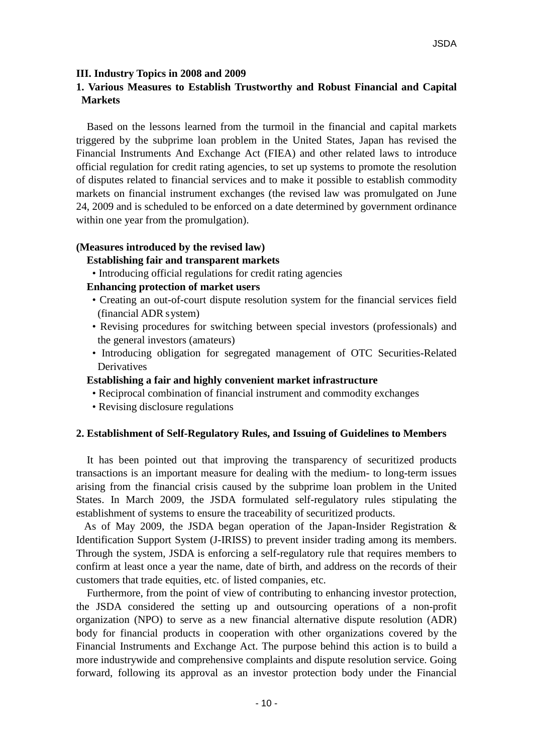# **III. Industry Topics in 2008 and 2009**

# **1. Various Measures to Establish Trustworthy and Robust Financial and Capital Markets**

Based on the lessons learned from the turmoil in the financial and capital markets triggered by the subprime loan problem in the United States, Japan has revised the Financial Instruments And Exchange Act (FIEA) and other related laws to introduce official regulation for credit rating agencies, to set up systems to promote the resolution of disputes related to financial services and to make it possible to establish commodity markets on financial instrument exchanges (the revised law was promulgated on June 24, 2009 and is scheduled to be enforced on a date determined by government ordinance within one year from the promulgation).

# **(Measures introduced by the revised law)**

# **Establishing fair and transparent markets**

• Introducing official regulations for credit rating agencies

# **Enhancing protection of market users**

- Creating an out-of-court dispute resolution system for the financial services field (financial ADR system)
- Revising procedures for switching between special investors (professionals) and the general investors (amateurs)
- Introducing obligation for segregated management of OTC Securities-Related Derivatives

# **Establishing a fair and highly convenient market infrastructure**

- Reciprocal combination of financial instrument and commodity exchanges
- Revising disclosure regulations

# **2. Establishment of Self-Regulatory Rules, and Issuing of Guidelines to Members**

It has been pointed out that improving the transparency of securitized products transactions is an important measure for dealing with the medium- to long-term issues arising from the financial crisis caused by the subprime loan problem in the United States. In March 2009, the JSDA formulated self-regulatory rules stipulating the establishment of systems to ensure the traceability of securitized products.

As of May 2009, the JSDA began operation of the Japan-Insider Registration & Identification Support System (J-IRISS) to prevent insider trading among its members. Through the system, JSDA is enforcing a self-regulatory rule that requires members to confirm at least once a year the name, date of birth, and address on the records of their customers that trade equities, etc. of listed companies, etc.

Furthermore, from the point of view of contributing to enhancing investor protection, the JSDA considered the setting up and outsourcing operations of a non-profit organization (NPO) to serve as a new financial alternative dispute resolution (ADR) body for financial products in cooperation with other organizations covered by the Financial Instruments and Exchange Act. The purpose behind this action is to build a more industrywide and comprehensive complaints and dispute resolution service. Going forward, following its approval as an investor protection body under the Financial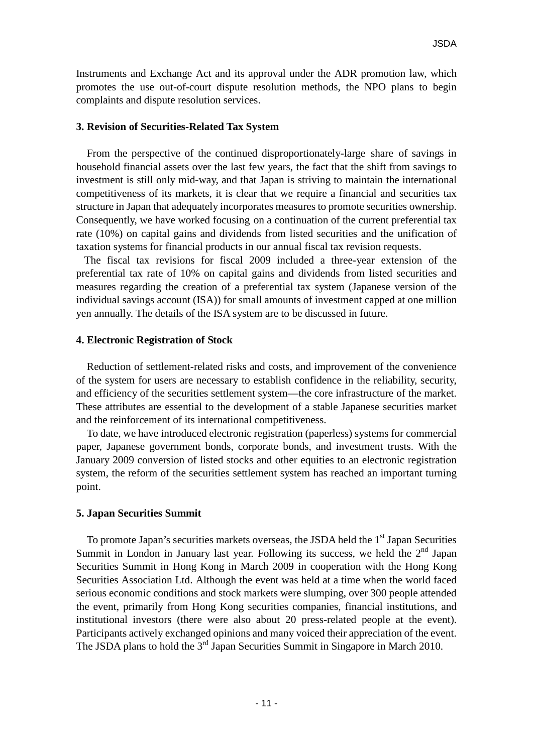Instruments and Exchange Act and its approval under the ADR promotion law, which promotes the use out-of-court dispute resolution methods, the NPO plans to begin complaints and dispute resolution services.

#### **3. Revision of Securities-Related Tax System**

From the perspective of the continued disproportionately-large share of savings in household financial assets over the last few years, the fact that the shift from savings to investment is still only mid-way, and that Japan is striving to maintain the international competitiveness of its markets, it is clear that we require a financial and securities tax structure in Japan that adequately incorporates measures to promote securities ownership. Consequently, we have worked focusing on a continuation of the current preferential tax rate (10%) on capital gains and dividends from listed securities and the unification of taxation systems for financial products in our annual fiscal tax revision requests.

The fiscal tax revisions for fiscal 2009 included a three-year extension of the preferential tax rate of 10% on capital gains and dividends from listed securities and measures regarding the creation of a preferential tax system (Japanese version of the individual savings account (ISA)) for small amounts of investment capped at one million yen annually. The details of the ISA system are to be discussed in future.

#### **4. Electronic Registration of Stock**

Reduction of settlement-related risks and costs, and improvement of the convenience of the system for users are necessary to establish confidence in the reliability, security, and efficiency of the securities settlement system—the core infrastructure of the market. These attributes are essential to the development of a stable Japanese securities market and the reinforcement of its international competitiveness.

To date, we have introduced electronic registration (paperless) systems for commercial paper, Japanese government bonds, corporate bonds, and investment trusts. With the January 2009 conversion of listed stocks and other equities to an electronic registration system, the reform of the securities settlement system has reached an important turning point.

#### **5. Japan Securities Summit**

To promote Japan's securities markets overseas, the JSDA held the 1<sup>st</sup> Japan Securities Summit in London in January last year. Following its success, we held the  $2<sup>nd</sup>$  Japan Securities Summit in Hong Kong in March 2009 in cooperation with the Hong Kong Securities Association Ltd. Although the event was held at a time when the world faced serious economic conditions and stock markets were slumping, over 300 people attended the event, primarily from Hong Kong securities companies, financial institutions, and institutional investors (there were also about 20 press-related people at the event). Participants actively exchanged opinions and many voiced their appreciation of the event. The JSDA plans to hold the  $3<sup>rd</sup>$  Japan Securities Summit in Singapore in March 2010.